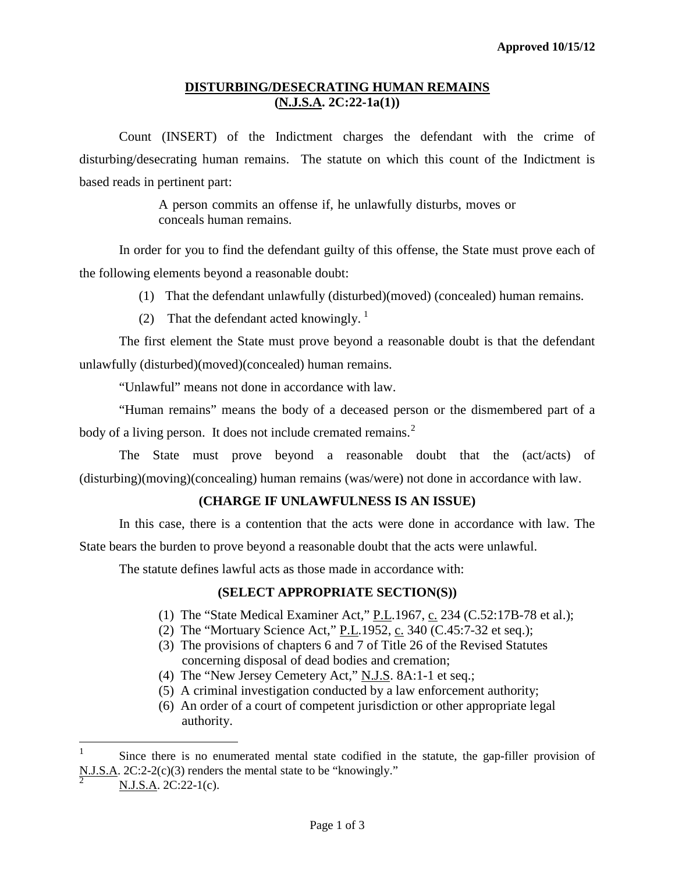#### **DISTURBING/DESECRATING HUMAN REMAINS (N.J.S.A. 2C:22-1a(1))**

Count (INSERT) of the Indictment charges the defendant with the crime of disturbing/desecrating human remains. The statute on which this count of the Indictment is based reads in pertinent part:

> A person commits an offense if, he unlawfully disturbs, moves or conceals human remains.

In order for you to find the defendant guilty of this offense, the State must prove each of the following elements beyond a reasonable doubt:

- (1) That the defendant unlawfully (disturbed)(moved) (concealed) human remains.
- (2) That the defendant acted knowingly.  $\frac{1}{1}$  $\frac{1}{1}$  $\frac{1}{1}$

The first element the State must prove beyond a reasonable doubt is that the defendant unlawfully (disturbed)(moved)(concealed) human remains.

"Unlawful" means not done in accordance with law.

"Human remains" means the body of a deceased person or the dismembered part of a body of a living person. It does not include cremated remains.<sup>[2](#page-0-1)</sup>

The State must prove beyond a reasonable doubt that the (act/acts) of (disturbing)(moving)(concealing) human remains (was/were) not done in accordance with law.

## **(CHARGE IF UNLAWFULNESS IS AN ISSUE)**

In this case, there is a contention that the acts were done in accordance with law. The State bears the burden to prove beyond a reasonable doubt that the acts were unlawful.

The statute defines lawful acts as those made in accordance with:

## **(SELECT APPROPRIATE SECTION(S))**

- (1) The "State Medical Examiner Act,"  $P.L.1967$ , c. 234 [\(C.52:17B-78](https://web2.westlaw.com/find/default.wl?tc=-1&docname=NJST52%3a17B-78&rp=%2ffind%2fdefault.wl&sv=Split&rs=WLW11.10&db=1000045&tf=-1&findtype=L&fn=_top&mt=68&vr=2.0&pbc=6E554CFE&ordoc=11225738) et al.);
- (2) The "Mortuary Science Act," P.L.1952, c. 340 [\(C.45:7-32 et seq.\)](https://web2.westlaw.com/find/default.wl?tc=-1&docname=NJST45%3a7-32&rp=%2ffind%2fdefault.wl&sv=Split&rs=WLW11.10&db=1000045&tf=-1&findtype=L&fn=_top&mt=68&vr=2.0&pbc=6E554CFE&ordoc=11225738);
- (3) The provisions of chapters 6 and 7 of Title 26 of the Revised Statutes concerning disposal of dead bodies and cremation;
- (4) The "New Jersey Cemetery Act," [N.J.S. 8A:1-1 et seq.;](https://web2.westlaw.com/find/default.wl?tc=-1&docname=NJST8A%3a1-1&rp=%2ffind%2fdefault.wl&sv=Split&rs=WLW11.10&db=1000045&tf=-1&findtype=L&fn=_top&mt=68&vr=2.0&pbc=6E554CFE&ordoc=11225738)
- (5) A criminal investigation conducted by a law enforcement authority;
- (6) An order of a court of competent jurisdiction or other appropriate legal authority.

<span id="page-0-0"></span> $\frac{1}{1}$  Since there is no enumerated mental state codified in the statute, the gap-filler provision of N.J.S.A. 2C:2-2(c)(3) renders the mental state to be "knowingly."

<span id="page-0-1"></span>N.J.S.A. 2C:22-1(c).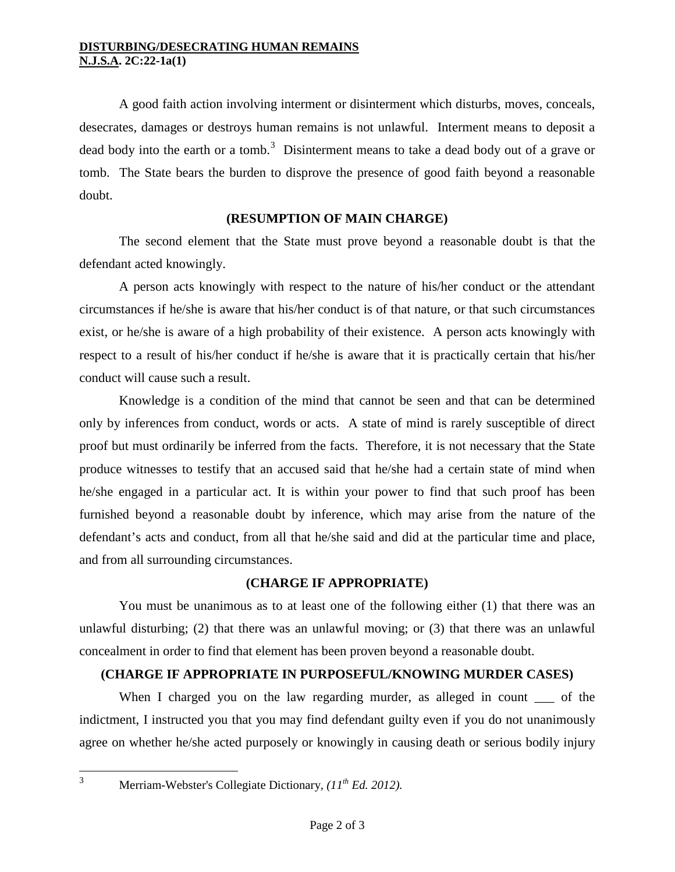#### **DISTURBING/DESECRATING HUMAN REMAINS N.J.S.A. 2C:22-1a(1)**

A good faith action involving interment or disinterment which disturbs, moves, conceals, desecrates, damages or destroys human remains is not unlawful. Interment means to deposit a dead body into the earth or a tomb.<sup>[3](#page-0-1)</sup> Disinterment means to take a dead body out of a grave or tomb. The State bears the burden to disprove the presence of good faith beyond a reasonable doubt.

## **(RESUMPTION OF MAIN CHARGE)**

The second element that the State must prove beyond a reasonable doubt is that the defendant acted knowingly.

A person acts knowingly with respect to the nature of his/her conduct or the attendant circumstances if he/she is aware that his/her conduct is of that nature, or that such circumstances exist, or he/she is aware of a high probability of their existence. A person acts knowingly with respect to a result of his/her conduct if he/she is aware that it is practically certain that his/her conduct will cause such a result.

Knowledge is a condition of the mind that cannot be seen and that can be determined only by inferences from conduct, words or acts. A state of mind is rarely susceptible of direct proof but must ordinarily be inferred from the facts. Therefore, it is not necessary that the State produce witnesses to testify that an accused said that he/she had a certain state of mind when he/she engaged in a particular act. It is within your power to find that such proof has been furnished beyond a reasonable doubt by inference, which may arise from the nature of the defendant's acts and conduct, from all that he/she said and did at the particular time and place, and from all surrounding circumstances.

## **(CHARGE IF APPROPRIATE)**

You must be unanimous as to at least one of the following either (1) that there was an unlawful disturbing; (2) that there was an unlawful moving; or (3) that there was an unlawful concealment in order to find that element has been proven beyond a reasonable doubt.

## **(CHARGE IF APPROPRIATE IN PURPOSEFUL/KNOWING MURDER CASES)**

When I charged you on the law regarding murder, as alleged in count of the indictment, I instructed you that you may find defendant guilty even if you do not unanimously agree on whether he/she acted purposely or knowingly in causing death or serious bodily injury

3

Merriam-Webster's Collegiate Dictionary*, (11th Ed. 2012).*